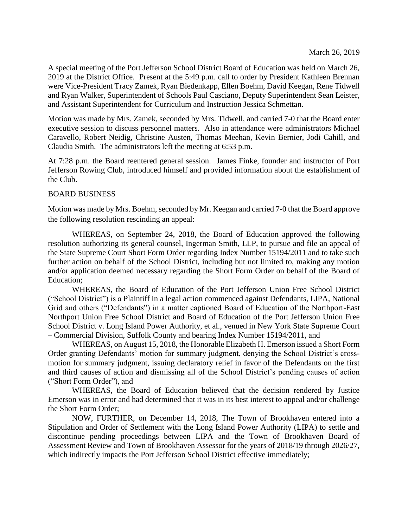A special meeting of the Port Jefferson School District Board of Education was held on March 26, 2019 at the District Office. Present at the 5:49 p.m. call to order by President Kathleen Brennan were Vice-President Tracy Zamek, Ryan Biedenkapp, Ellen Boehm, David Keegan, Rene Tidwell and Ryan Walker, Superintendent of Schools Paul Casciano, Deputy Superintendent Sean Leister, and Assistant Superintendent for Curriculum and Instruction Jessica Schmettan.

Motion was made by Mrs. Zamek, seconded by Mrs. Tidwell, and carried 7-0 that the Board enter executive session to discuss personnel matters. Also in attendance were administrators Michael Caravello, Robert Neidig, Christine Austen, Thomas Meehan, Kevin Bernier, Jodi Cahill, and Claudia Smith. The administrators left the meeting at 6:53 p.m.

At 7:28 p.m. the Board reentered general session. James Finke, founder and instructor of Port Jefferson Rowing Club, introduced himself and provided information about the establishment of the Club.

## BOARD BUSINESS

Motion was made by Mrs. Boehm, seconded by Mr. Keegan and carried 7-0 that the Board approve the following resolution rescinding an appeal:

WHEREAS, on September 24, 2018, the Board of Education approved the following resolution authorizing its general counsel, Ingerman Smith, LLP, to pursue and file an appeal of the State Supreme Court Short Form Order regarding Index Number 15194/2011 and to take such further action on behalf of the School District, including but not limited to, making any motion and/or application deemed necessary regarding the Short Form Order on behalf of the Board of Education;

WHEREAS, the Board of Education of the Port Jefferson Union Free School District ("School District") is a Plaintiff in a legal action commenced against Defendants, LIPA, National Grid and others ("Defendants") in a matter captioned Board of Education of the Northport-East Northport Union Free School District and Board of Education of the Port Jefferson Union Free School District v. Long Island Power Authority, et al., venued in New York State Supreme Court – Commercial Division, Suffolk County and bearing Index Number 15194/2011, and

WHEREAS, on August 15, 2018, the Honorable Elizabeth H. Emerson issued a Short Form Order granting Defendants' motion for summary judgment, denying the School District's crossmotion for summary judgment, issuing declaratory relief in favor of the Defendants on the first and third causes of action and dismissing all of the School District's pending causes of action ("Short Form Order"), and

WHEREAS, the Board of Education believed that the decision rendered by Justice Emerson was in error and had determined that it was in its best interest to appeal and/or challenge the Short Form Order;

NOW, FURTHER, on December 14, 2018, The Town of Brookhaven entered into a Stipulation and Order of Settlement with the Long Island Power Authority (LIPA) to settle and discontinue pending proceedings between LIPA and the Town of Brookhaven Board of Assessment Review and Town of Brookhaven Assessor for the years of 2018/19 through 2026/27, which indirectly impacts the Port Jefferson School District effective immediately;